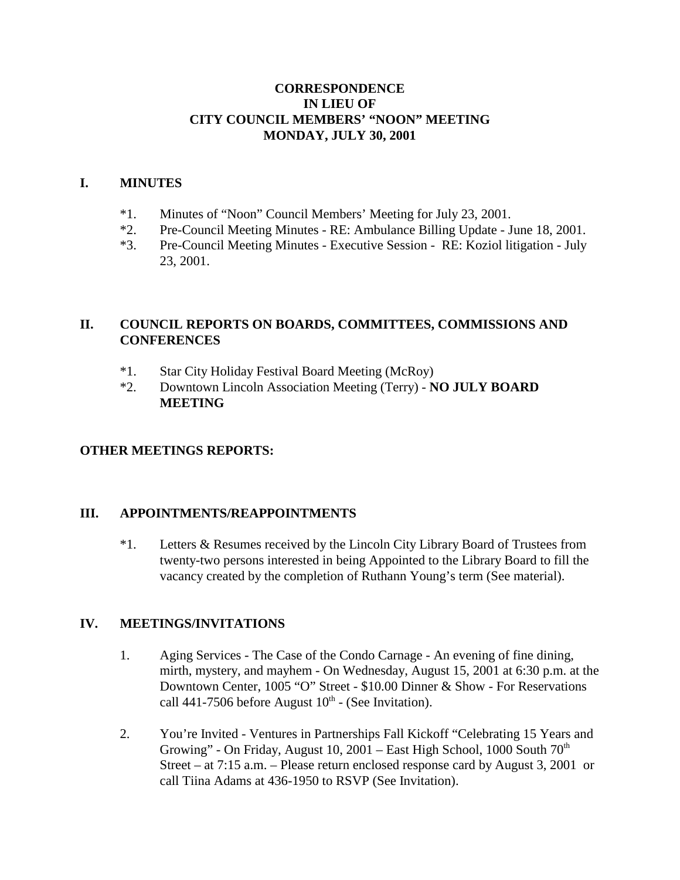#### **CORRESPONDENCE IN LIEU OF CITY COUNCIL MEMBERS' "NOON" MEETING MONDAY, JULY 30, 2001**

#### **I. MINUTES**

- \*1. Minutes of "Noon" Council Members' Meeting for July 23, 2001.
- \*2. Pre-Council Meeting Minutes RE: Ambulance Billing Update June 18, 2001.
- \*3. Pre-Council Meeting Minutes Executive Session RE: Koziol litigation July 23, 2001.

## **II. COUNCIL REPORTS ON BOARDS, COMMITTEES, COMMISSIONS AND CONFERENCES**

- \*1. Star City Holiday Festival Board Meeting (McRoy)
- \*2. Downtown Lincoln Association Meeting (Terry) **NO JULY BOARD MEETING**

## **OTHER MEETINGS REPORTS:**

## **III. APPOINTMENTS/REAPPOINTMENTS**

\*1. Letters & Resumes received by the Lincoln City Library Board of Trustees from twenty-two persons interested in being Appointed to the Library Board to fill the vacancy created by the completion of Ruthann Young's term (See material).

## **IV. MEETINGS/INVITATIONS**

- 1. Aging Services The Case of the Condo Carnage An evening of fine dining, mirth, mystery, and mayhem - On Wednesday, August 15, 2001 at 6:30 p.m. at the Downtown Center, 1005 "O" Street - \$10.00 Dinner & Show - For Reservations call 441-7506 before August  $10<sup>th</sup>$  - (See Invitation).
- 2. You're Invited Ventures in Partnerships Fall Kickoff "Celebrating 15 Years and Growing" - On Friday, August 10, 2001 – East High School, 1000 South 70<sup>th</sup> Street – at 7:15 a.m. – Please return enclosed response card by August 3, 2001 or call Tiina Adams at 436-1950 to RSVP (See Invitation).